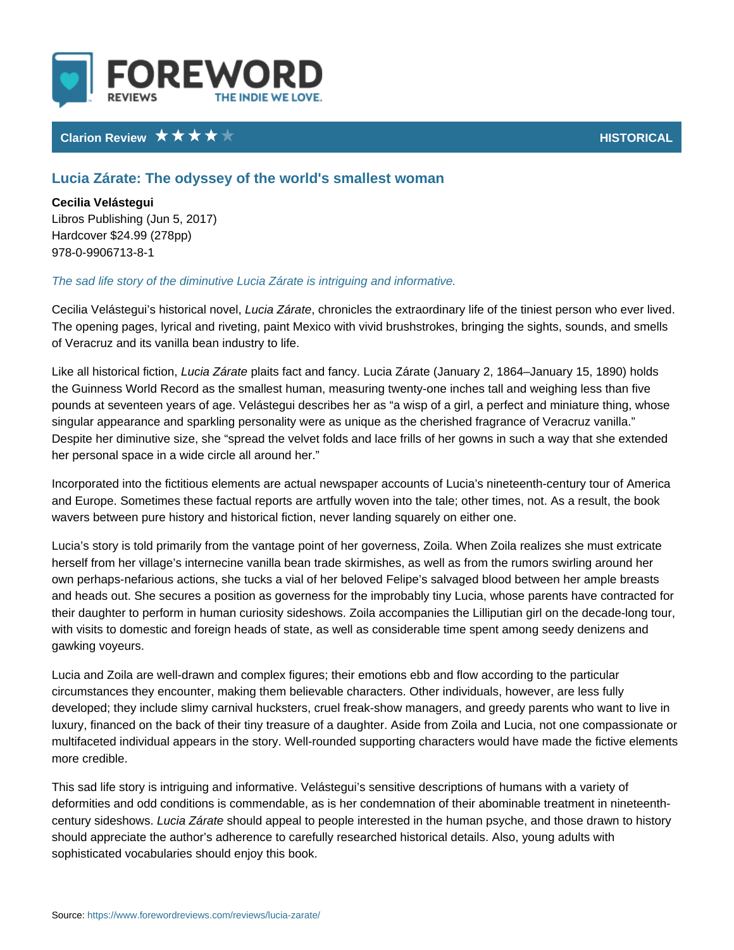# Clarion Review **HISTORIC**

# Lucia Zárate: The odyssey of the world's smallest woman

Cecilia Velástegui Libros Publishing (Jun 5, 2017) Hardcover \$24.99 (278pp) 978-0-9906713-8-1

#### The sad life story of the diminutive Lucia Zárate is intriguing and informative.

Cecilia Velástegui s hi**stocnia a Zlánoolwecol**nicles the extraordinary life of the tiniest p The opening pages, lyrical and riveting, paint Mexico with vivid brushstrokes, b of Veracruz and its vanilla bean industry to life.

Like all historidalcfac $\bar{z}$ ápdaets fact and fancy. Lucia Zárate (January 2, 1864 Jan the Guinness World Record as the smallest human, measuring twenty-one inchesthand weighthand weight and weight pounds at seventeen years of age. Velástegui describes her as a wisp of a girl singular appearance and sparkling personality were as unique as the cherished Despite her diminutive size, she spread the velvet folds and lace frills of her gowns her personal space in a wide circle all around her.

Incorporated into the fictitious elements are actual newspaper accounts of Luci and Europe. Sometimes these factual reports are artfully woven into the tale; o wavers between pure history and historical fiction, never landing squarely on e

Lucia s story is told primarily from the vantage point of her governess, Zoila. V herself from her village s internecine vanilla bean trade skirmishes, as well as own perhaps-nefarious actions, she tucks a vial of her beloved Felipe s salvage and heads out. She secures a position as governess for the improbably tiny Luc their daughter to perform in human curiosity sideshows. Zoila accompanies the with visits to domestic and foreign heads of state, as well as considerable time gawking voyeurs.

Lucia and Zoila are well-drawn and complex figures; their emotions ebb and flo circumstances they encounter, making them believable characters. Other individ developed; they include slimy carnival hucksters, cruel freak-show managers, a luxury, financed on the back of their tiny treasure of a daughter. Aside from Zo multifaceted individual appears in the story. Well-rounded supporting character more credible.

This sad life story is intriguing and informative. Velástegui s sensitive descriptons of the humans with a vari deformities and odd conditions is commendable, as is her condemnation of their century sideshow was Zárahtoeuld appeal to people interested in the human psyche, a should appreciate the author s adherence to carefully researched historical det sophisticated vocabularies should enjoy this book.